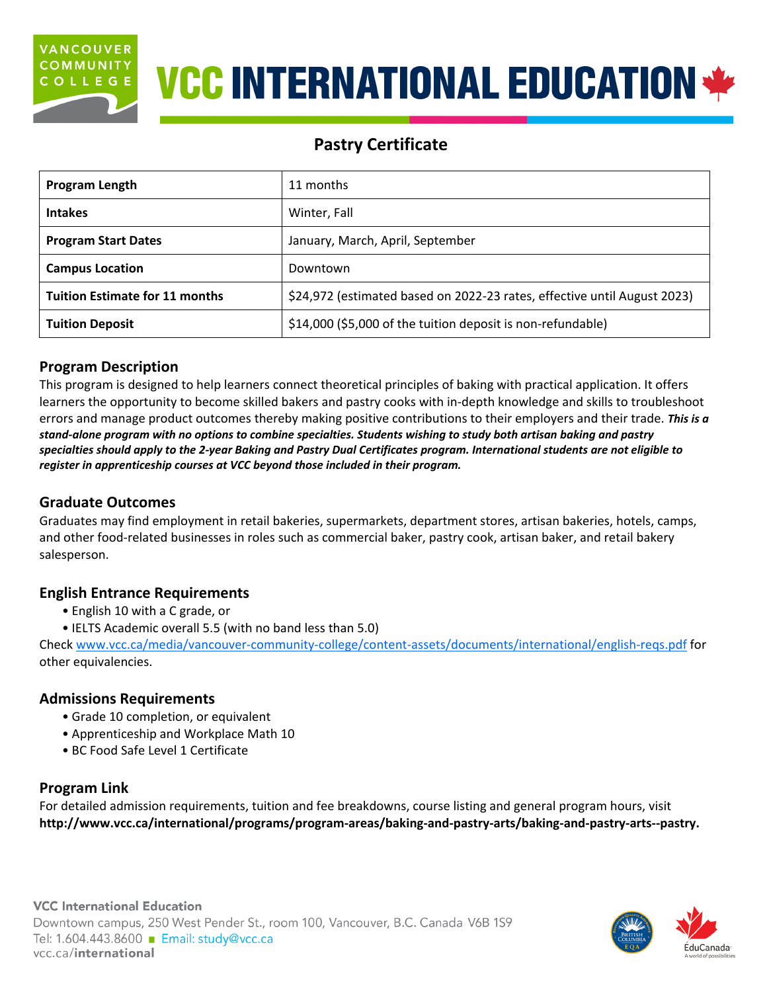

# **VCC INTERNATIONAL EDUCATION \*\***

# **Pastry Certificate**

| Program Length                        | 11 months                                                                |  |
|---------------------------------------|--------------------------------------------------------------------------|--|
| <b>Intakes</b>                        | Winter, Fall                                                             |  |
| <b>Program Start Dates</b>            | January, March, April, September                                         |  |
| <b>Campus Location</b>                | Downtown                                                                 |  |
| <b>Tuition Estimate for 11 months</b> | \$24,972 (estimated based on 2022-23 rates, effective until August 2023) |  |
| <b>Tuition Deposit</b>                | \$14,000 (\$5,000 of the tuition deposit is non-refundable)              |  |

# **Program Description**

This program is designed to help learners connect theoretical principles of baking with practical application. It offers learners the opportunity to become skilled bakers and pastry cooks with in-depth knowledge and skills to troubleshoot errors and manage product outcomes thereby making positive contributions to their employers and their trade. *This is a stand-alone program with no options to combine specialties. Students wishing to study both artisan baking and pastry specialties should apply to the 2-year Baking and Pastry Dual Certificates program. International students are not eligible to register in apprenticeship courses at VCC beyond those included in their program.*

# **Graduate Outcomes**

Graduates may find employment in retail bakeries, supermarkets, department stores, artisan bakeries, hotels, camps, and other food-related businesses in roles such as commercial baker, pastry cook, artisan baker, and retail bakery salesperson.

# **English Entrance Requirements**

- English 10 with a C grade, or
- IELTS Academic overall 5.5 (with no band less than 5.0)

Check [www.vcc.ca/media/vancouver-community-college/content-assets/documents/international/english-reqs.pdf](http://www.vcc.ca/media/vancouver-community-college/content-assets/documents/international/english-reqs.pdf) for other equivalencies.

# **Admissions Requirements**

- Grade 10 completion, or equivalent
- Apprenticeship and Workplace Math 10
- BC Food Safe Level 1 Certificate

# **Program Link**

For detailed admission requirements, tuition and fee breakdowns, course listing and general program hours, visit **[http://www.vcc.ca/international/programs/program-areas/baking-and-pastry-arts/baking-and-pastry-arts--pastry.](http://www.vcc.ca/international/programs/program-areas/baking-and-pastry-arts/baking-and-pastry-arts--pastry)**